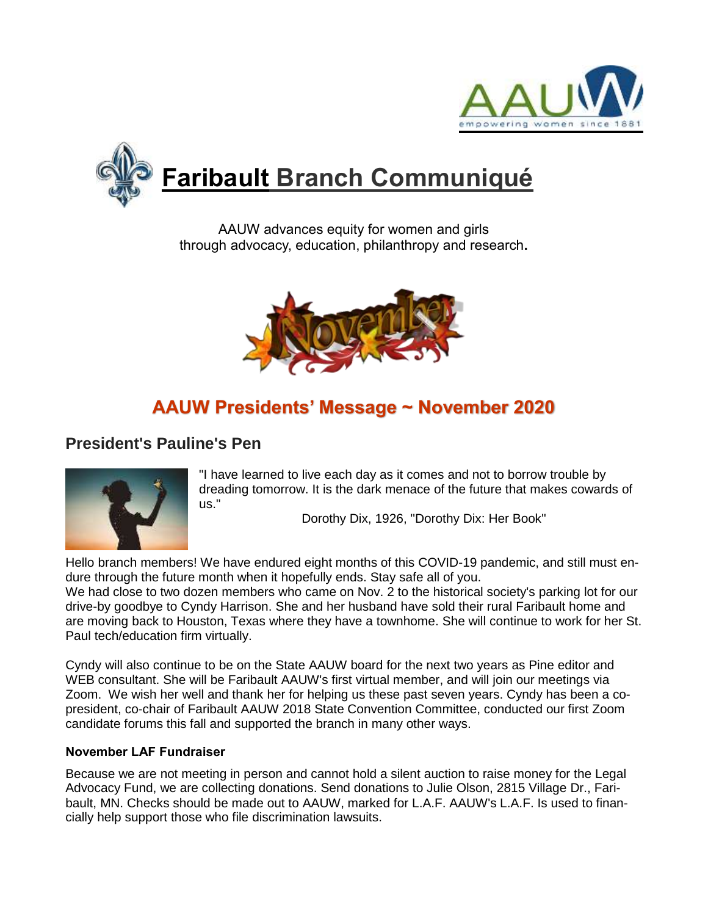



AAUW advances equity for women and girls through advocacy, education, philanthropy and research**.**



# **AAUW Presidents' Message ~ November 2020**

## **President's Pauline's Pen**



"I have learned to live each day as it comes and not to borrow trouble by dreading tomorrow. It is the dark menace of the future that makes cowards of us."

Dorothy Dix, 1926, "Dorothy Dix: Her Book"

Hello branch members! We have endured eight months of this COVID-19 pandemic, and still must endure through the future month when it hopefully ends. Stay safe all of you.

We had close to two dozen members who came on Nov. 2 to the historical society's parking lot for our drive-by goodbye to Cyndy Harrison. She and her husband have sold their rural Faribault home and are moving back to Houston, Texas where they have a townhome. She will continue to work for her St. Paul tech/education firm virtually.

Cyndy will also continue to be on the State AAUW board for the next two years as Pine editor and WEB consultant. She will be Faribault AAUW's first virtual member, and will join our meetings via Zoom. We wish her well and thank her for helping us these past seven years. Cyndy has been a copresident, co-chair of Faribault AAUW 2018 State Convention Committee, conducted our first Zoom candidate forums this fall and supported the branch in many other ways.

### **November LAF Fundraiser**

Because we are not meeting in person and cannot hold a silent auction to raise money for the Legal Advocacy Fund, we are collecting donations. Send donations to Julie Olson, 2815 Village Dr., Faribault, MN. Checks should be made out to AAUW, marked for L.A.F. AAUW's L.A.F. Is used to financially help support those who file discrimination lawsuits.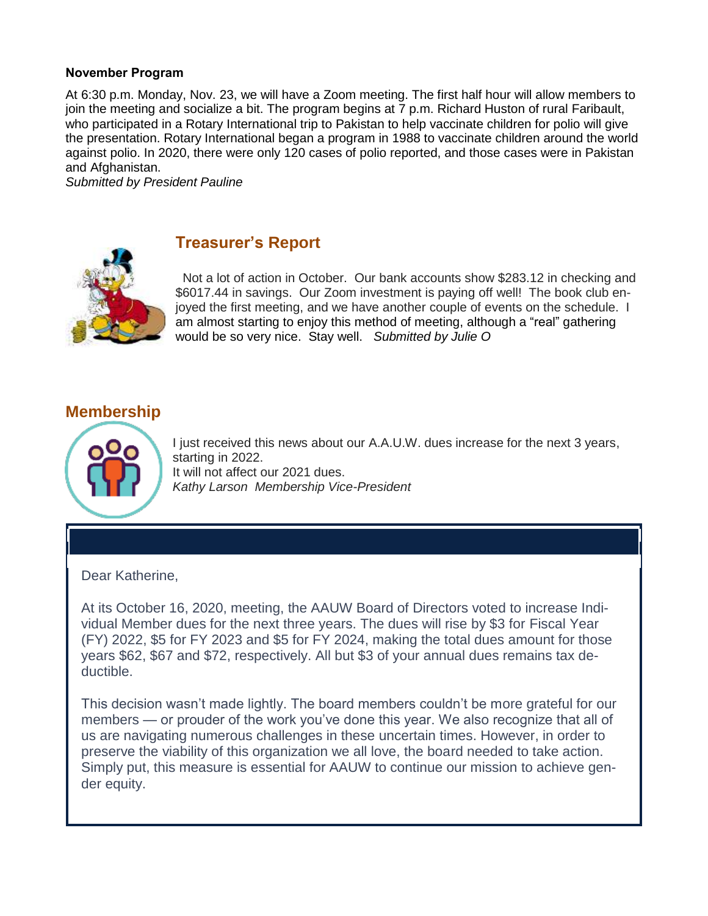#### **November Program**

At 6:30 p.m. Monday, Nov. 23, we will have a Zoom meeting. The first half hour will allow members to join the meeting and socialize a bit. The program begins at 7 p.m. Richard Huston of rural Faribault, who participated in a Rotary International trip to Pakistan to help vaccinate children for polio will give the presentation. Rotary International began a program in 1988 to vaccinate children around the world against polio. In 2020, there were only 120 cases of polio reported, and those cases were in Pakistan and Afghanistan.

*Submitted by President Pauline*



# **Treasurer's Report**

 Not a lot of action in October. Our bank accounts show \$283.12 in checking and \$6017.44 in savings. Our Zoom investment is paying off well! The book club enjoyed the first meeting, and we have another couple of events on the schedule. I am almost starting to enjoy this method of meeting, although a "real" gathering would be so very nice. Stay well. *Submitted by Julie O*

### **Membership**



I just received this news about our A.A.U.W. dues increase for the next 3 years, starting in 2022. It will not affect our 2021 dues. *Kathy Larson Membership Vice-President*

Dear Katherine,

At its October 16, 2020, meeting, the AAUW Board of Directors voted to increase Individual Member dues for the next three years. The dues will rise by \$3 for Fiscal Year (FY) 2022, \$5 for FY 2023 and \$5 for FY 2024, making the total dues amount for those years \$62, \$67 and \$72, respectively. All but \$3 of your annual dues remains tax deductible.

This decision wasn't made lightly. The board members couldn't be more grateful for our members — or prouder of the work you've done this year. We also recognize that all of us are navigating numerous challenges in these uncertain times. However, in order to preserve the viability of this organization we all love, the board needed to take action. Simply put, this measure is essential for AAUW to continue our mission to achieve gender equity.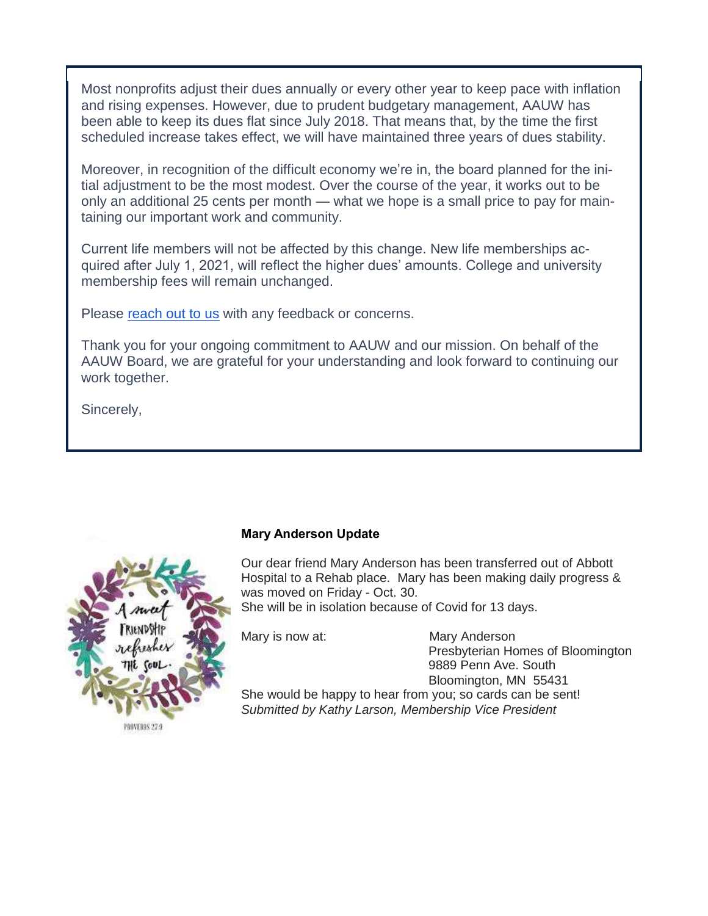Most nonprofits adjust their dues annually or every other year to keep pace with inflation and rising expenses. However, due to prudent budgetary management, AAUW has been able to keep its dues flat since July 2018. That means that, by the time the first scheduled increase takes effect, we will have maintained three years of dues stability.

Moreover, in recognition of the difficult economy we're in, the board planned for the initial adjustment to be the most modest. Over the course of the year, it works out to be only an additional 25 cents per month — what we hope is a small price to pay for maintaining our important work and community.

Current life members will not be affected by this change. New life memberships acquired after July 1, 2021, will reflect the higher dues' amounts. College and university membership fees will remain unchanged.

Please [reach out to us](https://click.everyaction.com/k/20977260/259079639/904226896?nvep=ew0KICAiVGVuYW50VXJpIjogIm5ncHZhbjovL3Zhbi9FQS9FQTAwNS8xLzc2OTU1IiwNCiAgIkRpc3RyaWJ1dGlvblVuaXF1ZUlkIjogImUwOTI2ZmZjLWM4MWEtZWIxMS05NmY1LTAwMTU1ZDAzYmRhMCIsDQogICJFbWFpbEFkZHJlc3MiOiAia2F0aHloaWxnZXJzbGFyc29uQGdtYWlsLmNvbSINCn0%3D&hmac=ojhMdhAmNaPq78h5rGx54rJTMIv47hAsGf9Yij0wNts=&emci=75200b98-1c1a-eb11-96f5-00155d03bda0&emdi=e0926ffc-c81a-eb11-96f5-00155d03bda0&ceid=937115) with any feedback or concerns.

Thank you for your ongoing commitment to AAUW and our mission. On behalf of the AAUW Board, we are grateful for your understanding and look forward to continuing our work together.

Sincerely,



#### **Mary Anderson Update**

Our dear friend Mary Anderson has been transferred out of Abbott Hospital to a Rehab place. Mary has been making daily progress & was moved on Friday - Oct. 30. She will be in isolation because of Covid for 13 days.

Mary is now at: Mary Anderson Presbyterian Homes of Bloomington 9889 Penn Ave. South Bloomington, MN 55431

She would be happy to hear from you; so cards can be sent! *Submitted by Kathy Larson, Membership Vice President*